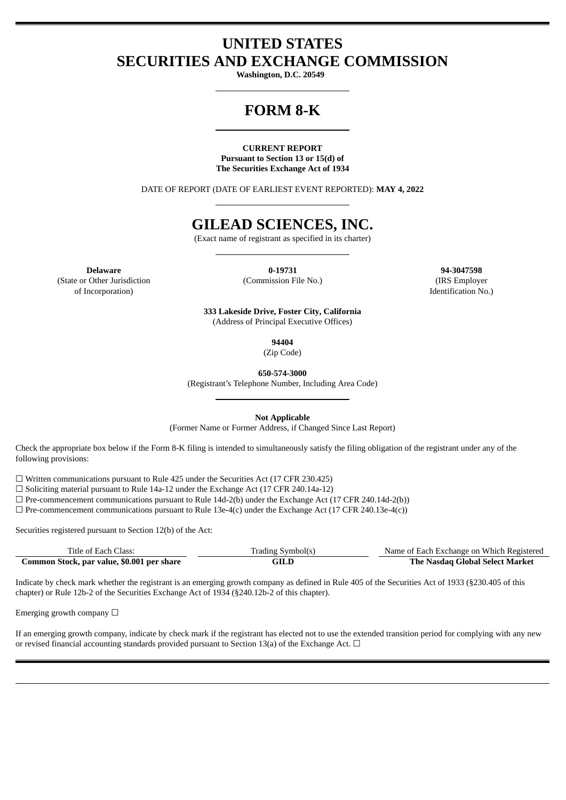## **UNITED STATES SECURITIES AND EXCHANGE COMMISSION**

**Washington, D.C. 20549**

# **FORM 8-K**

#### **CURRENT REPORT Pursuant to Section 13 or 15(d) of The Securities Exchange Act of 1934**

DATE OF REPORT (DATE OF EARLIEST EVENT REPORTED): **MAY 4, 2022**

# **GILEAD SCIENCES, INC.**

(Exact name of registrant as specified in its charter)

**Delaware 0-19731 94-3047598** (State or Other Jurisdiction of Incorporation)

(Commission File No.) (IRS Employer

Identification No.)

**333 Lakeside Drive, Foster City, California** (Address of Principal Executive Offices)

**94404**

(Zip Code)

**650-574-3000**

(Registrant's Telephone Number, Including Area Code)

**Not Applicable**

(Former Name or Former Address, if Changed Since Last Report)

Check the appropriate box below if the Form 8-K filing is intended to simultaneously satisfy the filing obligation of the registrant under any of the following provisions:

 $\Box$  Written communications pursuant to Rule 425 under the Securities Act (17 CFR 230.425)

☐ Soliciting material pursuant to Rule 14a-12 under the Exchange Act (17 CFR 240.14a-12)

 $\Box$  Pre-commencement communications pursuant to Rule 14d-2(b) under the Exchange Act (17 CFR 240.14d-2(b))

 $\Box$  Pre-commencement communications pursuant to Rule 13e-4(c) under the Exchange Act (17 CFR 240.13e-4(c))

Securities registered pursuant to Section 12(b) of the Act:

| Title of Each Class:                       | Trading Symbol(s) | Name of Each Exchange on Which Registered |
|--------------------------------------------|-------------------|-------------------------------------------|
| Common Stock, par value, \$0.001 per share | GILD              | The Nasdaq Global Select Market           |

Indicate by check mark whether the registrant is an emerging growth company as defined in Rule 405 of the Securities Act of 1933 (§230.405 of this chapter) or Rule 12b-2 of the Securities Exchange Act of 1934 (§240.12b-2 of this chapter).

Emerging growth company  $\Box$ 

If an emerging growth company, indicate by check mark if the registrant has elected not to use the extended transition period for complying with any new or revised financial accounting standards provided pursuant to Section 13(a) of the Exchange Act.  $\Box$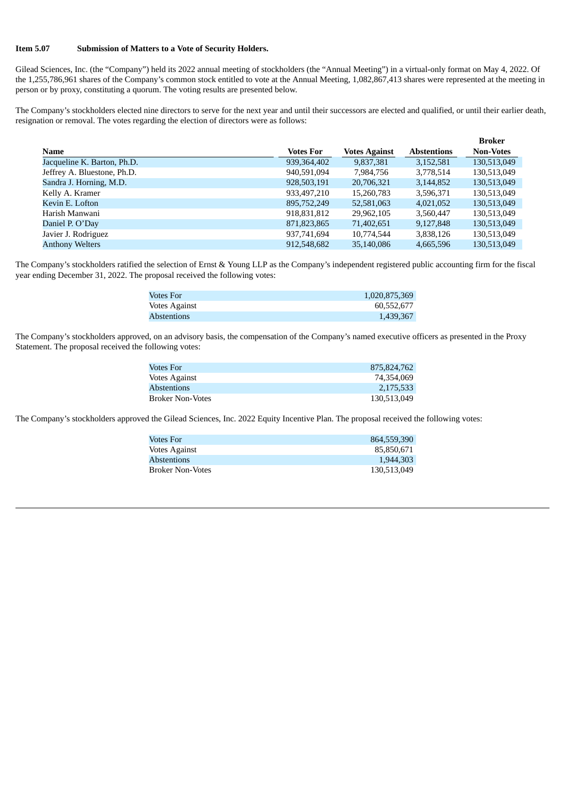#### **Item 5.07 Submission of Matters to a Vote of Security Holders.**

Gilead Sciences, Inc. (the "Company") held its 2022 annual meeting of stockholders (the "Annual Meeting") in a virtual-only format on May 4, 2022. Of the 1,255,786,961 shares of the Company's common stock entitled to vote at the Annual Meeting, 1,082,867,413 shares were represented at the meeting in person or by proxy, constituting a quorum. The voting results are presented below.

The Company's stockholders elected nine directors to serve for the next year and until their successors are elected and qualified, or until their earlier death, resignation or removal. The votes regarding the election of directors were as follows:

|                             |               |                      |                    | Broker           |
|-----------------------------|---------------|----------------------|--------------------|------------------|
| Name                        | Votes For     | <b>Votes Against</b> | <b>Abstentions</b> | <b>Non-Votes</b> |
| Jacqueline K. Barton, Ph.D. | 939, 364, 402 | 9,837,381            | 3,152,581          | 130,513,049      |
| Jeffrey A. Bluestone, Ph.D. | 940,591,094   | 7,984,756            | 3,778,514          | 130,513,049      |
| Sandra J. Horning, M.D.     | 928,503,191   | 20,706,321           | 3,144,852          | 130,513,049      |
| Kelly A. Kramer             | 933,497,210   | 15,260,783           | 3,596,371          | 130,513,049      |
| Kevin E. Lofton             | 895,752,249   | 52,581,063           | 4,021,052          | 130,513,049      |
| Harish Manwani              | 918,831,812   | 29,962,105           | 3,560,447          | 130,513,049      |
| Daniel P. O'Day             | 871,823,865   | 71,402,651           | 9,127,848          | 130,513,049      |
| Javier J. Rodriguez         | 937,741,694   | 10.774.544           | 3,838,126          | 130,513,049      |
| <b>Anthony Welters</b>      | 912.548.682   | 35,140,086           | 4,665,596          | 130,513,049      |

The Company's stockholders ratified the selection of Ernst & Young LLP as the Company's independent registered public accounting firm for the fiscal year ending December 31, 2022. The proposal received the following votes:

| Votes For     | 1,020,875,369 |
|---------------|---------------|
| Votes Against | 60.552.677    |
| Abstentions   | 1,439,367     |

The Company's stockholders approved, on an advisory basis, the compensation of the Company's named executive officers as presented in the Proxy Statement. The proposal received the following votes:

| <b>Votes For</b>        | 875.824.762 |
|-------------------------|-------------|
| <b>Votes Against</b>    | 74.354.069  |
| <b>Abstentions</b>      | 2,175,533   |
| <b>Broker Non-Votes</b> | 130,513,049 |

The Company's stockholders approved the Gilead Sciences, Inc. 2022 Equity Incentive Plan. The proposal received the following votes:

| Votes For               | 864,559,390 |
|-------------------------|-------------|
| <b>Votes Against</b>    | 85.850.671  |
| <b>Abstentions</b>      | 1.944.303   |
| <b>Broker Non-Votes</b> | 130.513.049 |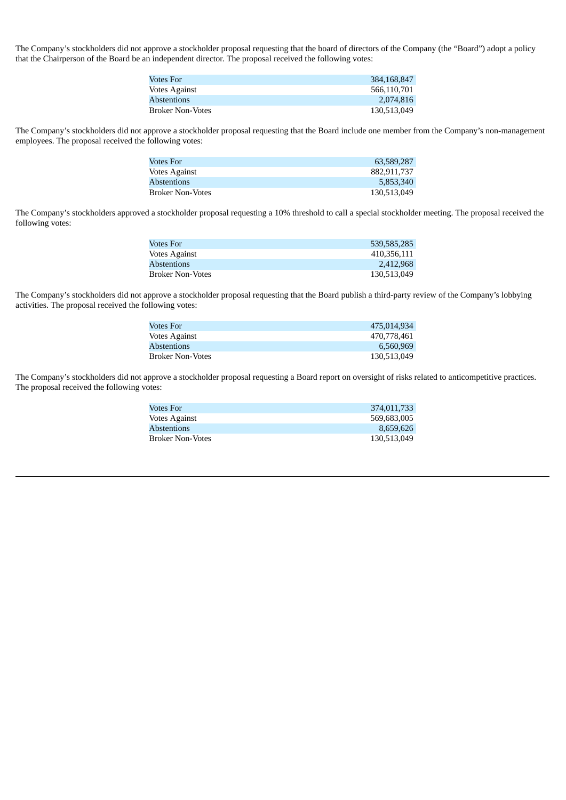The Company's stockholders did not approve a stockholder proposal requesting that the board of directors of the Company (the "Board") adopt a policy that the Chairperson of the Board be an independent director. The proposal received the following votes:

| 384,168,847 |
|-------------|
| 566.110.701 |
| 2.074.816   |
| 130,513,049 |
|             |

The Company's stockholders did not approve a stockholder proposal requesting that the Board include one member from the Company's non-management employees. The proposal received the following votes:

| Votes For               | 63,589,287  |
|-------------------------|-------------|
| <b>Votes Against</b>    | 882,911,737 |
| <b>Abstentions</b>      | 5,853,340   |
| <b>Broker Non-Votes</b> | 130,513,049 |

The Company's stockholders approved a stockholder proposal requesting a 10% threshold to call a special stockholder meeting. The proposal received the following votes:

| Votes For               | 539.585.285 |
|-------------------------|-------------|
| <b>Votes Against</b>    | 410.356.111 |
| <b>Abstentions</b>      | 2.412.968   |
| <b>Broker Non-Votes</b> | 130,513,049 |

The Company's stockholders did not approve a stockholder proposal requesting that the Board publish a third-party review of the Company's lobbying activities. The proposal received the following votes:

| Votes For               | 475.014.934 |
|-------------------------|-------------|
| <b>Votes Against</b>    | 470.778.461 |
| <b>Abstentions</b>      | 6.560.969   |
| <b>Broker Non-Votes</b> | 130.513.049 |

The Company's stockholders did not approve a stockholder proposal requesting a Board report on oversight of risks related to anticompetitive practices. The proposal received the following votes:

| Votes For          | 374,011,733 |
|--------------------|-------------|
| Votes Against      | 569.683.005 |
| <b>Abstentions</b> | 8.659.626   |
| Broker Non-Votes   | 130,513,049 |
|                    |             |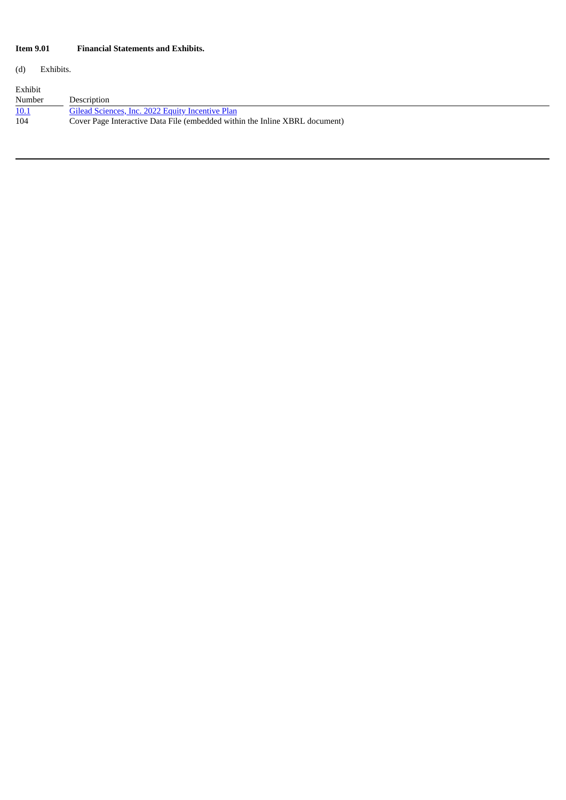### **Item 9.01 Financial Statements and Exhibits.**

(d) Exhibits.

| Exhibit |                                                                             |
|---------|-----------------------------------------------------------------------------|
| Number  | Description                                                                 |
| 10.1    | Gilead Sciences, Inc. 2022 Equity Incentive Plan                            |
| 104     | Cover Page Interactive Data File (embedded within the Inline XBRL document) |
|         |                                                                             |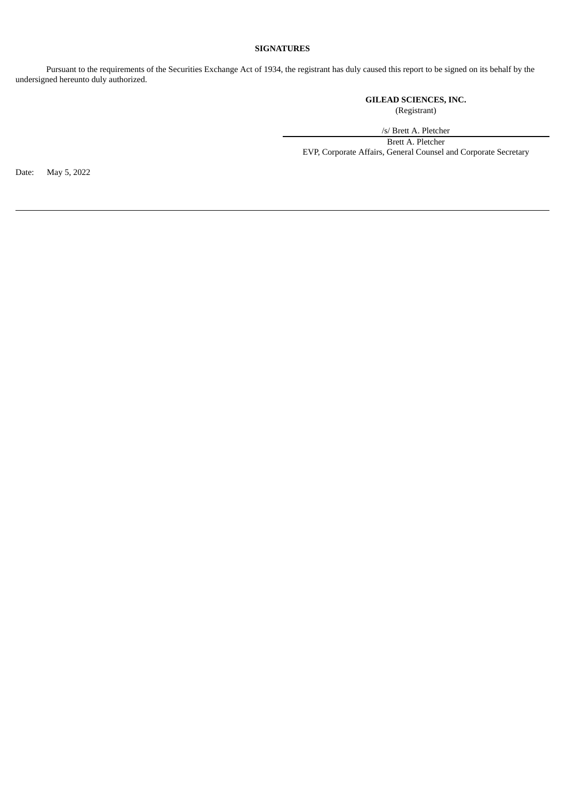### **SIGNATURES**

Pursuant to the requirements of the Securities Exchange Act of 1934, the registrant has duly caused this report to be signed on its behalf by the undersigned hereunto duly authorized.

> **GILEAD SCIENCES, INC.** (Registrant)

/s/ Brett A. Pletcher Brett A. Pletcher EVP, Corporate Affairs, General Counsel and Corporate Secretary

Date: May 5, 2022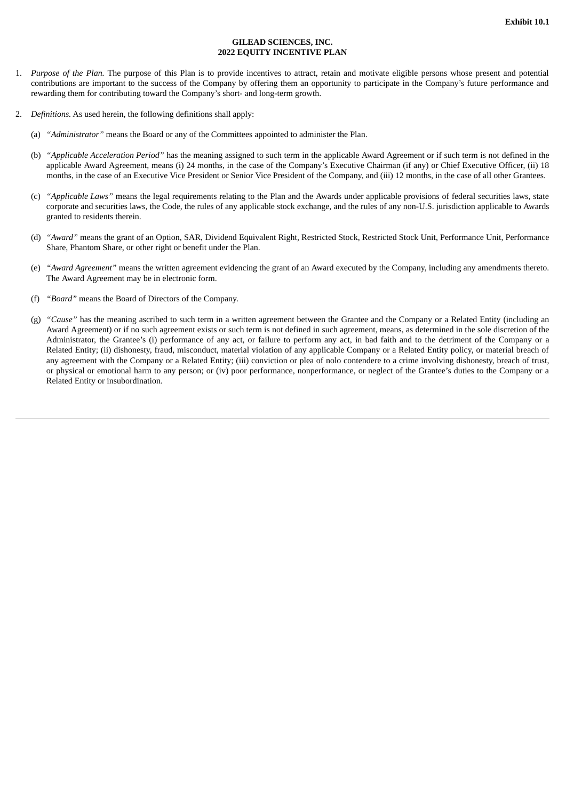#### **GILEAD SCIENCES, INC. 2022 EQUITY INCENTIVE PLAN**

- <span id="page-5-0"></span>1. *Purpose of the Plan.* The purpose of this Plan is to provide incentives to attract, retain and motivate eligible persons whose present and potential contributions are important to the success of the Company by offering them an opportunity to participate in the Company's future performance and rewarding them for contributing toward the Company's short- and long-term growth.
- 2. *Definitions.* As used herein, the following definitions shall apply:
	- (a) *"Administrator"* means the Board or any of the Committees appointed to administer the Plan.
	- (b) *"Applicable Acceleration Period"* has the meaning assigned to such term in the applicable Award Agreement or if such term is not defined in the applicable Award Agreement, means (i) 24 months, in the case of the Company's Executive Chairman (if any) or Chief Executive Officer, (ii) 18 months, in the case of an Executive Vice President or Senior Vice President of the Company, and (iii) 12 months, in the case of all other Grantees.
	- (c) *"Applicable Laws"* means the legal requirements relating to the Plan and the Awards under applicable provisions of federal securities laws, state corporate and securities laws, the Code, the rules of any applicable stock exchange, and the rules of any non-U.S. jurisdiction applicable to Awards granted to residents therein.
	- (d) *"Award"* means the grant of an Option, SAR, Dividend Equivalent Right, Restricted Stock, Restricted Stock Unit, Performance Unit, Performance Share, Phantom Share, or other right or benefit under the Plan.
	- (e) *"Award Agreement"* means the written agreement evidencing the grant of an Award executed by the Company, including any amendments thereto. The Award Agreement may be in electronic form.
	- (f) *"Board"* means the Board of Directors of the Company.
	- (g) *"Cause"* has the meaning ascribed to such term in a written agreement between the Grantee and the Company or a Related Entity (including an Award Agreement) or if no such agreement exists or such term is not defined in such agreement, means, as determined in the sole discretion of the Administrator, the Grantee's (i) performance of any act, or failure to perform any act, in bad faith and to the detriment of the Company or a Related Entity; (ii) dishonesty, fraud, misconduct, material violation of any applicable Company or a Related Entity policy, or material breach of any agreement with the Company or a Related Entity; (iii) conviction or plea of nolo contendere to a crime involving dishonesty, breach of trust, or physical or emotional harm to any person; or (iv) poor performance, nonperformance, or neglect of the Grantee's duties to the Company or a Related Entity or insubordination.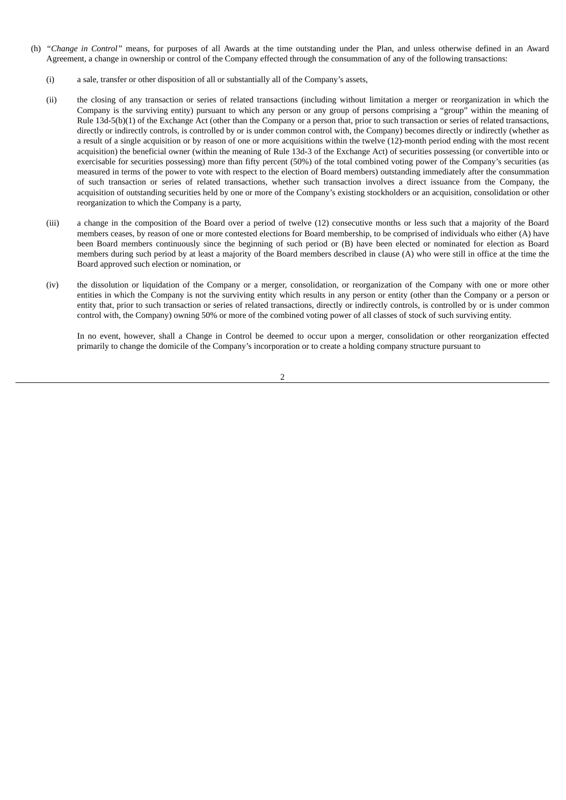- (h) *"Change in Control"* means, for purposes of all Awards at the time outstanding under the Plan, and unless otherwise defined in an Award Agreement, a change in ownership or control of the Company effected through the consummation of any of the following transactions:
	- (i) a sale, transfer or other disposition of all or substantially all of the Company's assets,
	- (ii) the closing of any transaction or series of related transactions (including without limitation a merger or reorganization in which the Company is the surviving entity) pursuant to which any person or any group of persons comprising a "group" within the meaning of Rule 13d-5(b)(1) of the Exchange Act (other than the Company or a person that, prior to such transaction or series of related transactions, directly or indirectly controls, is controlled by or is under common control with, the Company) becomes directly or indirectly (whether as a result of a single acquisition or by reason of one or more acquisitions within the twelve (12)-month period ending with the most recent acquisition) the beneficial owner (within the meaning of Rule 13d-3 of the Exchange Act) of securities possessing (or convertible into or exercisable for securities possessing) more than fifty percent (50%) of the total combined voting power of the Company's securities (as measured in terms of the power to vote with respect to the election of Board members) outstanding immediately after the consummation of such transaction or series of related transactions, whether such transaction involves a direct issuance from the Company, the acquisition of outstanding securities held by one or more of the Company's existing stockholders or an acquisition, consolidation or other reorganization to which the Company is a party,
	- (iii) a change in the composition of the Board over a period of twelve (12) consecutive months or less such that a majority of the Board members ceases, by reason of one or more contested elections for Board membership, to be comprised of individuals who either (A) have been Board members continuously since the beginning of such period or (B) have been elected or nominated for election as Board members during such period by at least a majority of the Board members described in clause (A) who were still in office at the time the Board approved such election or nomination, or
	- (iv) the dissolution or liquidation of the Company or a merger, consolidation, or reorganization of the Company with one or more other entities in which the Company is not the surviving entity which results in any person or entity (other than the Company or a person or entity that, prior to such transaction or series of related transactions, directly or indirectly controls, is controlled by or is under common control with, the Company) owning 50% or more of the combined voting power of all classes of stock of such surviving entity.

In no event, however, shall a Change in Control be deemed to occur upon a merger, consolidation or other reorganization effected primarily to change the domicile of the Company's incorporation or to create a holding company structure pursuant to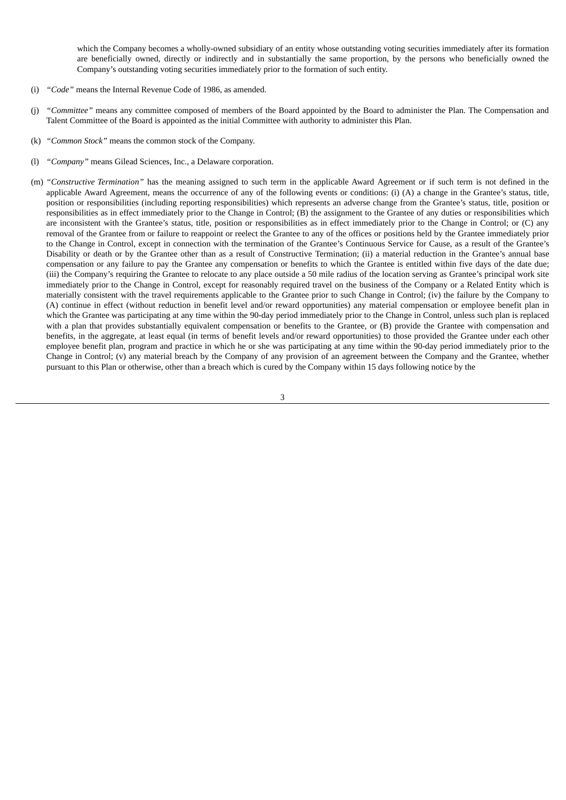which the Company becomes a wholly-owned subsidiary of an entity whose outstanding voting securities immediately after its formation are beneficially owned, directly or indirectly and in substantially the same proportion, by the persons who beneficially owned the Company's outstanding voting securities immediately prior to the formation of such entity.

- (i) *"Code"* means the Internal Revenue Code of 1986, as amended.
- (j) *"Committee"* means any committee composed of members of the Board appointed by the Board to administer the Plan. The Compensation and Talent Committee of the Board is appointed as the initial Committee with authority to administer this Plan.
- (k) *"Common Stock"* means the common stock of the Company.
- (l) *"Company"* means Gilead Sciences, Inc., a Delaware corporation.
- (m) *"Constructive Termination"* has the meaning assigned to such term in the applicable Award Agreement or if such term is not defined in the applicable Award Agreement, means the occurrence of any of the following events or conditions: (i) (A) a change in the Grantee's status, title, position or responsibilities (including reporting responsibilities) which represents an adverse change from the Grantee's status, title, position or responsibilities as in effect immediately prior to the Change in Control; (B) the assignment to the Grantee of any duties or responsibilities which are inconsistent with the Grantee's status, title, position or responsibilities as in effect immediately prior to the Change in Control; or (C) any removal of the Grantee from or failure to reappoint or reelect the Grantee to any of the offices or positions held by the Grantee immediately prior to the Change in Control, except in connection with the termination of the Grantee's Continuous Service for Cause, as a result of the Grantee's Disability or death or by the Grantee other than as a result of Constructive Termination; (ii) a material reduction in the Grantee's annual base compensation or any failure to pay the Grantee any compensation or benefits to which the Grantee is entitled within five days of the date due; (iii) the Company's requiring the Grantee to relocate to any place outside a 50 mile radius of the location serving as Grantee's principal work site immediately prior to the Change in Control, except for reasonably required travel on the business of the Company or a Related Entity which is materially consistent with the travel requirements applicable to the Grantee prior to such Change in Control; (iv) the failure by the Company to (A) continue in effect (without reduction in benefit level and/or reward opportunities) any material compensation or employee benefit plan in which the Grantee was participating at any time within the 90-day period immediately prior to the Change in Control, unless such plan is replaced with a plan that provides substantially equivalent compensation or benefits to the Grantee, or (B) provide the Grantee with compensation and benefits, in the aggregate, at least equal (in terms of benefit levels and/or reward opportunities) to those provided the Grantee under each other employee benefit plan, program and practice in which he or she was participating at any time within the 90-day period immediately prior to the Change in Control; (v) any material breach by the Company of any provision of an agreement between the Company and the Grantee, whether pursuant to this Plan or otherwise, other than a breach which is cured by the Company within 15 days following notice by the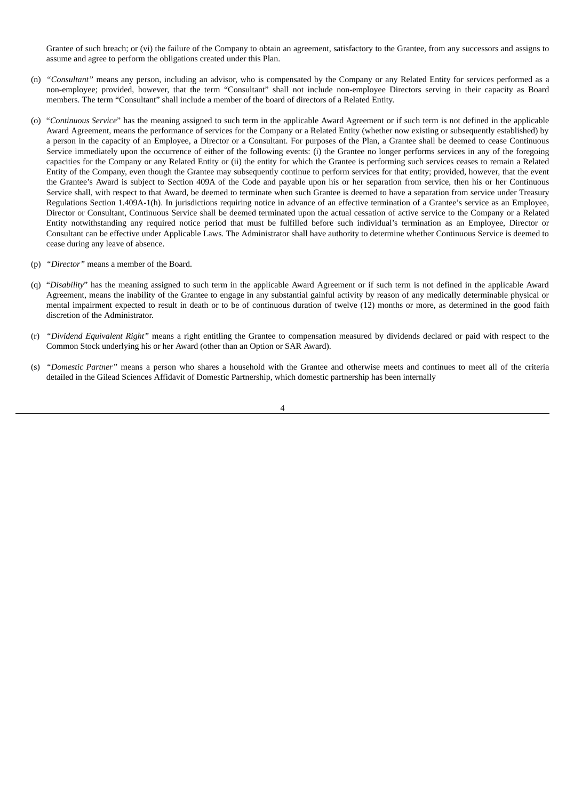Grantee of such breach; or (vi) the failure of the Company to obtain an agreement, satisfactory to the Grantee, from any successors and assigns to assume and agree to perform the obligations created under this Plan.

- (n) *"Consultant"* means any person, including an advisor, who is compensated by the Company or any Related Entity for services performed as a non-employee; provided, however, that the term "Consultant" shall not include non-employee Directors serving in their capacity as Board members. The term "Consultant" shall include a member of the board of directors of a Related Entity.
- (o) "*Continuous Service*" has the meaning assigned to such term in the applicable Award Agreement or if such term is not defined in the applicable Award Agreement, means the performance of services for the Company or a Related Entity (whether now existing or subsequently established) by a person in the capacity of an Employee, a Director or a Consultant. For purposes of the Plan, a Grantee shall be deemed to cease Continuous Service immediately upon the occurrence of either of the following events: (i) the Grantee no longer performs services in any of the foregoing capacities for the Company or any Related Entity or (ii) the entity for which the Grantee is performing such services ceases to remain a Related Entity of the Company, even though the Grantee may subsequently continue to perform services for that entity; provided, however, that the event the Grantee's Award is subject to Section 409A of the Code and payable upon his or her separation from service, then his or her Continuous Service shall, with respect to that Award, be deemed to terminate when such Grantee is deemed to have a separation from service under Treasury Regulations Section 1.409A-1(h). In jurisdictions requiring notice in advance of an effective termination of a Grantee's service as an Employee, Director or Consultant, Continuous Service shall be deemed terminated upon the actual cessation of active service to the Company or a Related Entity notwithstanding any required notice period that must be fulfilled before such individual's termination as an Employee, Director or Consultant can be effective under Applicable Laws. The Administrator shall have authority to determine whether Continuous Service is deemed to cease during any leave of absence.
- (p) *"Director"* means a member of the Board.
- (q) "*Disability*" has the meaning assigned to such term in the applicable Award Agreement or if such term is not defined in the applicable Award Agreement, means the inability of the Grantee to engage in any substantial gainful activity by reason of any medically determinable physical or mental impairment expected to result in death or to be of continuous duration of twelve (12) months or more, as determined in the good faith discretion of the Administrator.
- (r) *"Dividend Equivalent Right"* means a right entitling the Grantee to compensation measured by dividends declared or paid with respect to the Common Stock underlying his or her Award (other than an Option or SAR Award).
- (s) *"Domestic Partner"* means a person who shares a household with the Grantee and otherwise meets and continues to meet all of the criteria detailed in the Gilead Sciences Affidavit of Domestic Partnership, which domestic partnership has been internally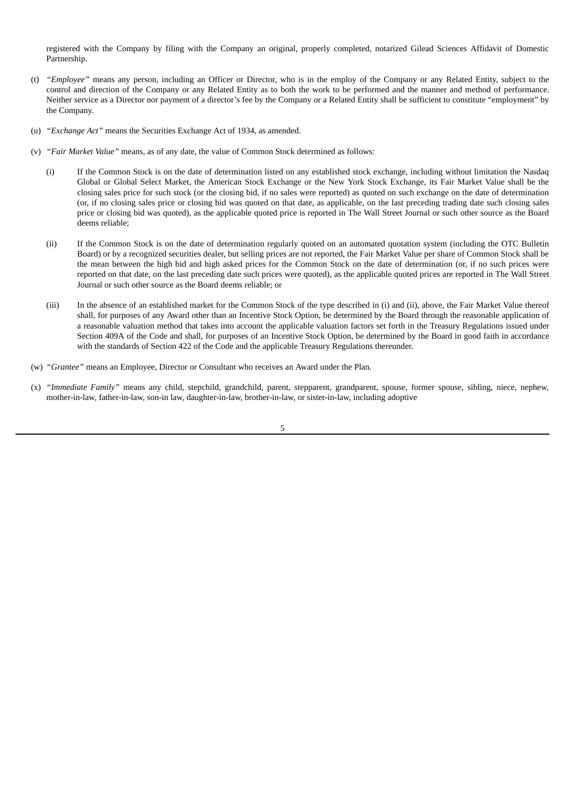registered with the Company by filing with the Company an original, properly completed, notarized Gilead Sciences Affidavit of Domestic Partnership.

- (t) *"Employee"* means any person, including an Officer or Director, who is in the employ of the Company or any Related Entity, subject to the control and direction of the Company or any Related Entity as to both the work to be performed and the manner and method of performance. Neither service as a Director nor payment of a director's fee by the Company or a Related Entity shall be sufficient to constitute "employment" by the Company.
- (u) *"Exchange Act"* means the Securities Exchange Act of 1934, as amended.
- (v) *"Fair Market Value"* means, as of any date, the value of Common Stock determined as follows:
	- (i) If the Common Stock is on the date of determination listed on any established stock exchange, including without limitation the Nasdaq Global or Global Select Market, the American Stock Exchange or the New York Stock Exchange, its Fair Market Value shall be the closing sales price for such stock (or the closing bid, if no sales were reported) as quoted on such exchange on the date of determination (or, if no closing sales price or closing bid was quoted on that date, as applicable, on the last preceding trading date such closing sales price or closing bid was quoted), as the applicable quoted price is reported in The Wall Street Journal or such other source as the Board deems reliable;
	- (ii) If the Common Stock is on the date of determination regularly quoted on an automated quotation system (including the OTC Bulletin Board) or by a recognized securities dealer, but selling prices are not reported, the Fair Market Value per share of Common Stock shall be the mean between the high bid and high asked prices for the Common Stock on the date of determination (or, if no such prices were reported on that date, on the last preceding date such prices were quoted), as the applicable quoted prices are reported in The Wall Street Journal or such other source as the Board deems reliable; or
	- (iii) In the absence of an established market for the Common Stock of the type described in (i) and (ii), above, the Fair Market Value thereof shall, for purposes of any Award other than an Incentive Stock Option, be determined by the Board through the reasonable application of a reasonable valuation method that takes into account the applicable valuation factors set forth in the Treasury Regulations issued under Section 409A of the Code and shall, for purposes of an Incentive Stock Option, be determined by the Board in good faith in accordance with the standards of Section 422 of the Code and the applicable Treasury Regulations thereunder.
- (w) *"Grantee"* means an Employee, Director or Consultant who receives an Award under the Plan.
- (x) *"Immediate Family"* means any child, stepchild, grandchild, parent, stepparent, grandparent, spouse, former spouse, sibling, niece, nephew, mother-in-law, father-in-law, son-in law, daughter-in-law, brother-in-law, or sister-in-law, including adoptive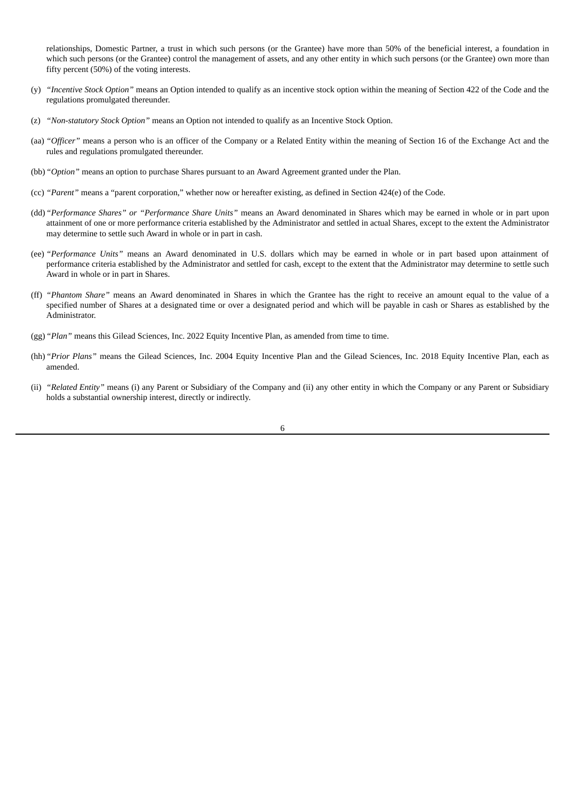relationships, Domestic Partner, a trust in which such persons (or the Grantee) have more than 50% of the beneficial interest, a foundation in which such persons (or the Grantee) control the management of assets, and any other entity in which such persons (or the Grantee) own more than fifty percent (50%) of the voting interests.

- (y) *"Incentive Stock Option"* means an Option intended to qualify as an incentive stock option within the meaning of Section 422 of the Code and the regulations promulgated thereunder.
- (z) *"Non-statutory Stock Option"* means an Option not intended to qualify as an Incentive Stock Option.
- (aa) *"Officer"* means a person who is an officer of the Company or a Related Entity within the meaning of Section 16 of the Exchange Act and the rules and regulations promulgated thereunder.
- (bb)*"Option"* means an option to purchase Shares pursuant to an Award Agreement granted under the Plan.
- (cc) *"Parent"* means a "parent corporation," whether now or hereafter existing, as defined in Section 424(e) of the Code.
- (dd)*"Performance Shares" or "Performance Share Units"* means an Award denominated in Shares which may be earned in whole or in part upon attainment of one or more performance criteria established by the Administrator and settled in actual Shares, except to the extent the Administrator may determine to settle such Award in whole or in part in cash.
- (ee) *"Performance Units"* means an Award denominated in U.S. dollars which may be earned in whole or in part based upon attainment of performance criteria established by the Administrator and settled for cash, except to the extent that the Administrator may determine to settle such Award in whole or in part in Shares.
- (ff) *"Phantom Share"* means an Award denominated in Shares in which the Grantee has the right to receive an amount equal to the value of a specified number of Shares at a designated time or over a designated period and which will be payable in cash or Shares as established by the Administrator.
- (gg)*"Plan"* means this Gilead Sciences, Inc. 2022 Equity Incentive Plan, as amended from time to time.
- (hh)*"Prior Plans"* means the Gilead Sciences, Inc. 2004 Equity Incentive Plan and the Gilead Sciences, Inc. 2018 Equity Incentive Plan, each as amended.
- (ii) *"Related Entity"* means (i) any Parent or Subsidiary of the Company and (ii) any other entity in which the Company or any Parent or Subsidiary holds a substantial ownership interest, directly or indirectly.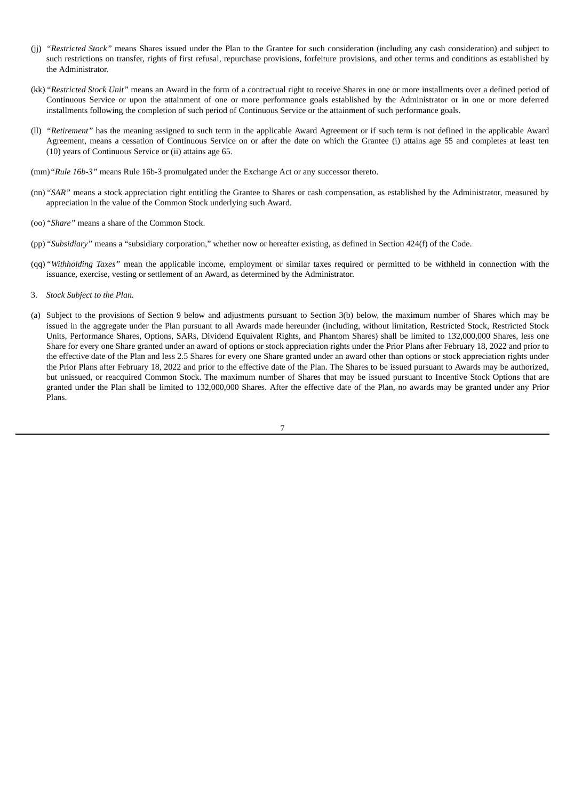- (jj) *"Restricted Stock"* means Shares issued under the Plan to the Grantee for such consideration (including any cash consideration) and subject to such restrictions on transfer, rights of first refusal, repurchase provisions, forfeiture provisions, and other terms and conditions as established by the Administrator.
- (kk)*"Restricted Stock Unit"* means an Award in the form of a contractual right to receive Shares in one or more installments over a defined period of Continuous Service or upon the attainment of one or more performance goals established by the Administrator or in one or more deferred installments following the completion of such period of Continuous Service or the attainment of such performance goals.
- (ll) *"Retirement"* has the meaning assigned to such term in the applicable Award Agreement or if such term is not defined in the applicable Award Agreement, means a cessation of Continuous Service on or after the date on which the Grantee (i) attains age 55 and completes at least ten (10) years of Continuous Service or (ii) attains age 65.
- (mm)*"Rule 16b-3"* means Rule 16b-3 promulgated under the Exchange Act or any successor thereto.
- (nn)*"SAR"* means a stock appreciation right entitling the Grantee to Shares or cash compensation, as established by the Administrator, measured by appreciation in the value of the Common Stock underlying such Award.
- (oo)*"Share"* means a share of the Common Stock.
- (pp)*"Subsidiary"* means a "subsidiary corporation," whether now or hereafter existing, as defined in Section 424(f) of the Code.
- (qq)*"Withholding Taxes"* mean the applicable income, employment or similar taxes required or permitted to be withheld in connection with the issuance, exercise, vesting or settlement of an Award, as determined by the Administrator.
- 3. *Stock Subject to the Plan.*
- (a) Subject to the provisions of Section 9 below and adjustments pursuant to Section 3(b) below, the maximum number of Shares which may be issued in the aggregate under the Plan pursuant to all Awards made hereunder (including, without limitation, Restricted Stock, Restricted Stock Units, Performance Shares, Options, SARs, Dividend Equivalent Rights, and Phantom Shares) shall be limited to 132,000,000 Shares, less one Share for every one Share granted under an award of options or stock appreciation rights under the Prior Plans after February 18, 2022 and prior to the effective date of the Plan and less 2.5 Shares for every one Share granted under an award other than options or stock appreciation rights under the Prior Plans after February 18, 2022 and prior to the effective date of the Plan. The Shares to be issued pursuant to Awards may be authorized, but unissued, or reacquired Common Stock. The maximum number of Shares that may be issued pursuant to Incentive Stock Options that are granted under the Plan shall be limited to 132,000,000 Shares. After the effective date of the Plan, no awards may be granted under any Prior Plans.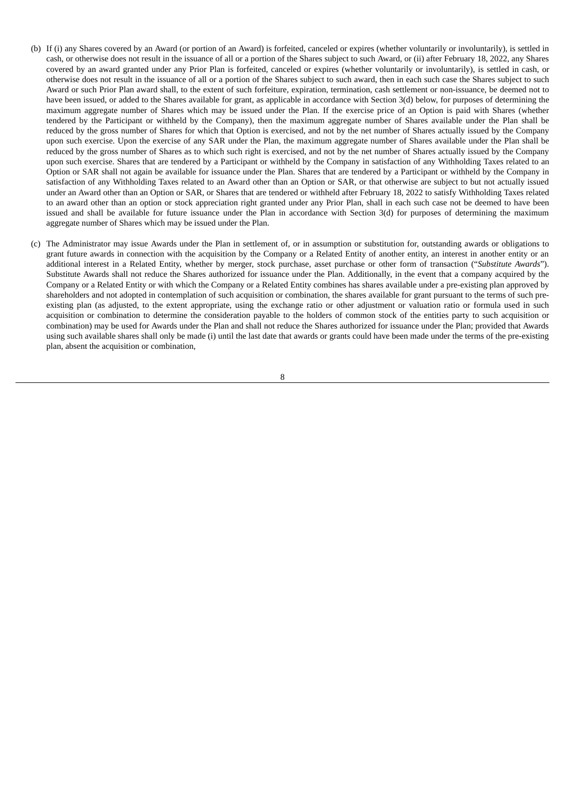- (b) If (i) any Shares covered by an Award (or portion of an Award) is forfeited, canceled or expires (whether voluntarily or involuntarily), is settled in cash, or otherwise does not result in the issuance of all or a portion of the Shares subject to such Award, or (ii) after February 18, 2022, any Shares covered by an award granted under any Prior Plan is forfeited, canceled or expires (whether voluntarily or involuntarily), is settled in cash, or otherwise does not result in the issuance of all or a portion of the Shares subject to such award, then in each such case the Shares subject to such Award or such Prior Plan award shall, to the extent of such forfeiture, expiration, termination, cash settlement or non-issuance, be deemed not to have been issued, or added to the Shares available for grant, as applicable in accordance with Section 3(d) below, for purposes of determining the maximum aggregate number of Shares which may be issued under the Plan. If the exercise price of an Option is paid with Shares (whether tendered by the Participant or withheld by the Company), then the maximum aggregate number of Shares available under the Plan shall be reduced by the gross number of Shares for which that Option is exercised, and not by the net number of Shares actually issued by the Company upon such exercise. Upon the exercise of any SAR under the Plan, the maximum aggregate number of Shares available under the Plan shall be reduced by the gross number of Shares as to which such right is exercised, and not by the net number of Shares actually issued by the Company upon such exercise. Shares that are tendered by a Participant or withheld by the Company in satisfaction of any Withholding Taxes related to an Option or SAR shall not again be available for issuance under the Plan. Shares that are tendered by a Participant or withheld by the Company in satisfaction of any Withholding Taxes related to an Award other than an Option or SAR, or that otherwise are subject to but not actually issued under an Award other than an Option or SAR, or Shares that are tendered or withheld after February 18, 2022 to satisfy Withholding Taxes related to an award other than an option or stock appreciation right granted under any Prior Plan, shall in each such case not be deemed to have been issued and shall be available for future issuance under the Plan in accordance with Section 3(d) for purposes of determining the maximum aggregate number of Shares which may be issued under the Plan.
- (c) The Administrator may issue Awards under the Plan in settlement of, or in assumption or substitution for, outstanding awards or obligations to grant future awards in connection with the acquisition by the Company or a Related Entity of another entity, an interest in another entity or an additional interest in a Related Entity, whether by merger, stock purchase, asset purchase or other form of transaction ("*Substitute Awards*"). Substitute Awards shall not reduce the Shares authorized for issuance under the Plan. Additionally, in the event that a company acquired by the Company or a Related Entity or with which the Company or a Related Entity combines has shares available under a pre-existing plan approved by shareholders and not adopted in contemplation of such acquisition or combination, the shares available for grant pursuant to the terms of such preexisting plan (as adjusted, to the extent appropriate, using the exchange ratio or other adjustment or valuation ratio or formula used in such acquisition or combination to determine the consideration payable to the holders of common stock of the entities party to such acquisition or combination) may be used for Awards under the Plan and shall not reduce the Shares authorized for issuance under the Plan; provided that Awards using such available shares shall only be made (i) until the last date that awards or grants could have been made under the terms of the pre-existing plan, absent the acquisition or combination,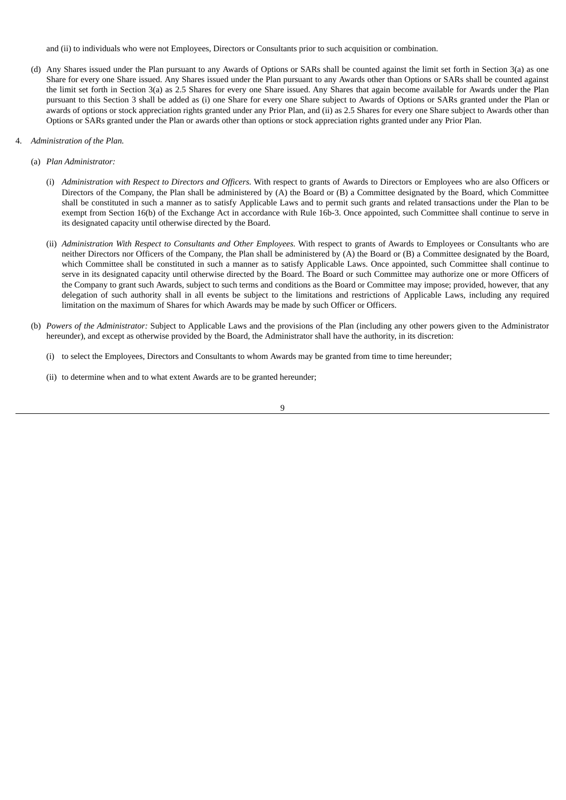and (ii) to individuals who were not Employees, Directors or Consultants prior to such acquisition or combination.

- (d) Any Shares issued under the Plan pursuant to any Awards of Options or SARs shall be counted against the limit set forth in Section 3(a) as one Share for every one Share issued. Any Shares issued under the Plan pursuant to any Awards other than Options or SARs shall be counted against the limit set forth in Section 3(a) as 2.5 Shares for every one Share issued. Any Shares that again become available for Awards under the Plan pursuant to this Section 3 shall be added as (i) one Share for every one Share subject to Awards of Options or SARs granted under the Plan or awards of options or stock appreciation rights granted under any Prior Plan, and (ii) as 2.5 Shares for every one Share subject to Awards other than Options or SARs granted under the Plan or awards other than options or stock appreciation rights granted under any Prior Plan.
- 4. *Administration of the Plan.*
	- (a) *Plan Administrator:*
		- (i) *Administration with Respect to Directors and Officers.* With respect to grants of Awards to Directors or Employees who are also Officers or Directors of the Company, the Plan shall be administered by (A) the Board or (B) a Committee designated by the Board, which Committee shall be constituted in such a manner as to satisfy Applicable Laws and to permit such grants and related transactions under the Plan to be exempt from Section 16(b) of the Exchange Act in accordance with Rule 16b-3. Once appointed, such Committee shall continue to serve in its designated capacity until otherwise directed by the Board.
		- (ii) *Administration With Respect to Consultants and Other Employees.* With respect to grants of Awards to Employees or Consultants who are neither Directors nor Officers of the Company, the Plan shall be administered by (A) the Board or (B) a Committee designated by the Board, which Committee shall be constituted in such a manner as to satisfy Applicable Laws. Once appointed, such Committee shall continue to serve in its designated capacity until otherwise directed by the Board. The Board or such Committee may authorize one or more Officers of the Company to grant such Awards, subject to such terms and conditions as the Board or Committee may impose; provided, however, that any delegation of such authority shall in all events be subject to the limitations and restrictions of Applicable Laws, including any required limitation on the maximum of Shares for which Awards may be made by such Officer or Officers.
	- (b) *Powers of the Administrator:* Subject to Applicable Laws and the provisions of the Plan (including any other powers given to the Administrator hereunder), and except as otherwise provided by the Board, the Administrator shall have the authority, in its discretion:
		- (i) to select the Employees, Directors and Consultants to whom Awards may be granted from time to time hereunder;
		- (ii) to determine when and to what extent Awards are to be granted hereunder;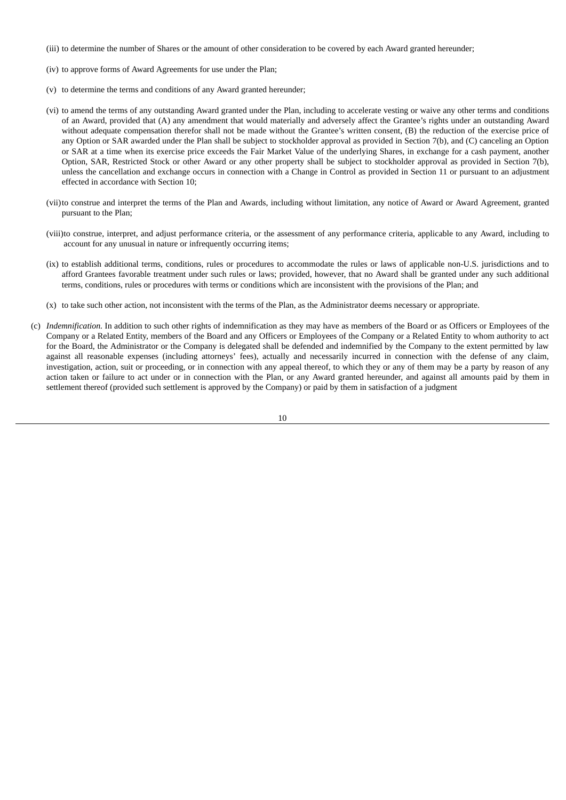- (iii) to determine the number of Shares or the amount of other consideration to be covered by each Award granted hereunder;
- (iv) to approve forms of Award Agreements for use under the Plan;
- (v) to determine the terms and conditions of any Award granted hereunder;
- (vi) to amend the terms of any outstanding Award granted under the Plan, including to accelerate vesting or waive any other terms and conditions of an Award, provided that (A) any amendment that would materially and adversely affect the Grantee's rights under an outstanding Award without adequate compensation therefor shall not be made without the Grantee's written consent, (B) the reduction of the exercise price of any Option or SAR awarded under the Plan shall be subject to stockholder approval as provided in Section 7(b), and (C) canceling an Option or SAR at a time when its exercise price exceeds the Fair Market Value of the underlying Shares, in exchange for a cash payment, another Option, SAR, Restricted Stock or other Award or any other property shall be subject to stockholder approval as provided in Section 7(b), unless the cancellation and exchange occurs in connection with a Change in Control as provided in Section 11 or pursuant to an adjustment effected in accordance with Section 10;
- (vii)to construe and interpret the terms of the Plan and Awards, including without limitation, any notice of Award or Award Agreement, granted pursuant to the Plan;
- (viii)to construe, interpret, and adjust performance criteria, or the assessment of any performance criteria, applicable to any Award, including to account for any unusual in nature or infrequently occurring items;
- (ix) to establish additional terms, conditions, rules or procedures to accommodate the rules or laws of applicable non-U.S. jurisdictions and to afford Grantees favorable treatment under such rules or laws; provided, however, that no Award shall be granted under any such additional terms, conditions, rules or procedures with terms or conditions which are inconsistent with the provisions of the Plan; and
- (x) to take such other action, not inconsistent with the terms of the Plan, as the Administrator deems necessary or appropriate.
- (c) *Indemnification.* In addition to such other rights of indemnification as they may have as members of the Board or as Officers or Employees of the Company or a Related Entity, members of the Board and any Officers or Employees of the Company or a Related Entity to whom authority to act for the Board, the Administrator or the Company is delegated shall be defended and indemnified by the Company to the extent permitted by law against all reasonable expenses (including attorneys' fees), actually and necessarily incurred in connection with the defense of any claim, investigation, action, suit or proceeding, or in connection with any appeal thereof, to which they or any of them may be a party by reason of any action taken or failure to act under or in connection with the Plan, or any Award granted hereunder, and against all amounts paid by them in settlement thereof (provided such settlement is approved by the Company) or paid by them in satisfaction of a judgment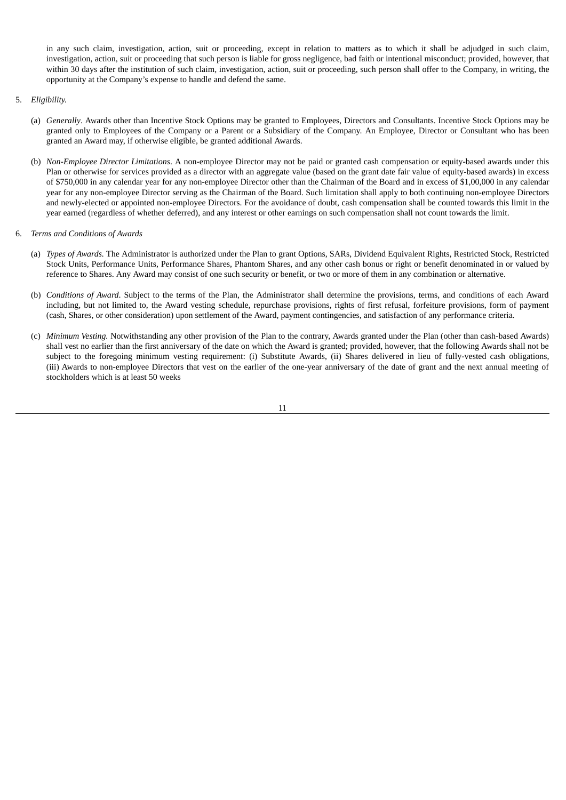in any such claim, investigation, action, suit or proceeding, except in relation to matters as to which it shall be adjudged in such claim, investigation, action, suit or proceeding that such person is liable for gross negligence, bad faith or intentional misconduct; provided, however, that within 30 days after the institution of such claim, investigation, action, suit or proceeding, such person shall offer to the Company, in writing, the opportunity at the Company's expense to handle and defend the same.

- 5. *Eligibility.*
	- (a) *Generally*. Awards other than Incentive Stock Options may be granted to Employees, Directors and Consultants. Incentive Stock Options may be granted only to Employees of the Company or a Parent or a Subsidiary of the Company. An Employee, Director or Consultant who has been granted an Award may, if otherwise eligible, be granted additional Awards.
	- (b) *Non-Employee Director Limitations*. A non-employee Director may not be paid or granted cash compensation or equity-based awards under this Plan or otherwise for services provided as a director with an aggregate value (based on the grant date fair value of equity-based awards) in excess of \$750,000 in any calendar year for any non-employee Director other than the Chairman of the Board and in excess of \$1,00,000 in any calendar year for any non-employee Director serving as the Chairman of the Board. Such limitation shall apply to both continuing non-employee Directors and newly-elected or appointed non-employee Directors. For the avoidance of doubt, cash compensation shall be counted towards this limit in the year earned (regardless of whether deferred), and any interest or other earnings on such compensation shall not count towards the limit.
- 6. *Terms and Conditions of Awards*
	- (a) *Types of Awards.* The Administrator is authorized under the Plan to grant Options, SARs, Dividend Equivalent Rights, Restricted Stock, Restricted Stock Units, Performance Units, Performance Shares, Phantom Shares, and any other cash bonus or right or benefit denominated in or valued by reference to Shares. Any Award may consist of one such security or benefit, or two or more of them in any combination or alternative.
	- (b) *Conditions of Award*. Subject to the terms of the Plan, the Administrator shall determine the provisions, terms, and conditions of each Award including, but not limited to, the Award vesting schedule, repurchase provisions, rights of first refusal, forfeiture provisions, form of payment (cash, Shares, or other consideration) upon settlement of the Award, payment contingencies, and satisfaction of any performance criteria.
	- (c) *Minimum Vesting.* Notwithstanding any other provision of the Plan to the contrary, Awards granted under the Plan (other than cash-based Awards) shall vest no earlier than the first anniversary of the date on which the Award is granted; provided, however, that the following Awards shall not be subject to the foregoing minimum vesting requirement: (i) Substitute Awards, (ii) Shares delivered in lieu of fully-vested cash obligations, (iii) Awards to non-employee Directors that vest on the earlier of the one-year anniversary of the date of grant and the next annual meeting of stockholders which is at least 50 weeks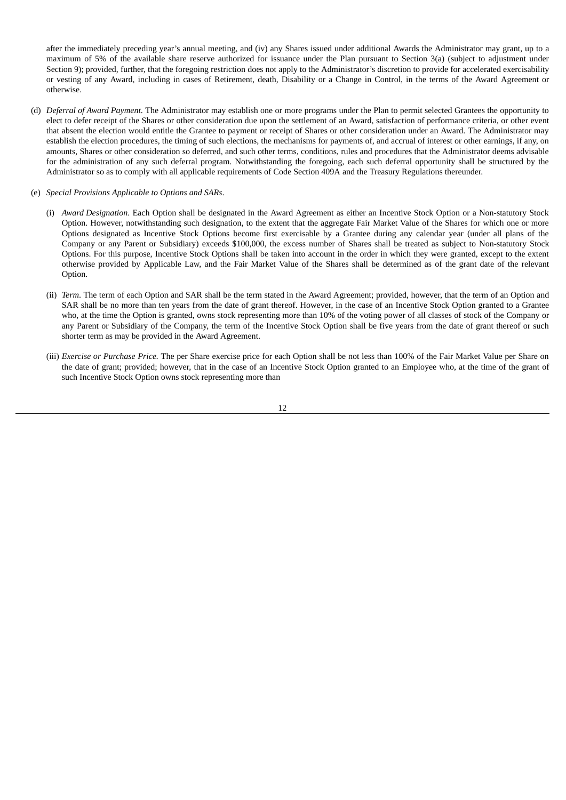after the immediately preceding year's annual meeting, and (iv) any Shares issued under additional Awards the Administrator may grant, up to a maximum of 5% of the available share reserve authorized for issuance under the Plan pursuant to Section 3(a) (subject to adjustment under Section 9); provided, further, that the foregoing restriction does not apply to the Administrator's discretion to provide for accelerated exercisability or vesting of any Award, including in cases of Retirement, death, Disability or a Change in Control, in the terms of the Award Agreement or otherwise.

- (d) *Deferral of Award Payment*. The Administrator may establish one or more programs under the Plan to permit selected Grantees the opportunity to elect to defer receipt of the Shares or other consideration due upon the settlement of an Award, satisfaction of performance criteria, or other event that absent the election would entitle the Grantee to payment or receipt of Shares or other consideration under an Award. The Administrator may establish the election procedures, the timing of such elections, the mechanisms for payments of, and accrual of interest or other earnings, if any, on amounts, Shares or other consideration so deferred, and such other terms, conditions, rules and procedures that the Administrator deems advisable for the administration of any such deferral program. Notwithstanding the foregoing, each such deferral opportunity shall be structured by the Administrator so as to comply with all applicable requirements of Code Section 409A and the Treasury Regulations thereunder.
- (e) *Special Provisions Applicable to Options and SARs*.
	- (i) *Award Designation*. Each Option shall be designated in the Award Agreement as either an Incentive Stock Option or a Non-statutory Stock Option. However, notwithstanding such designation, to the extent that the aggregate Fair Market Value of the Shares for which one or more Options designated as Incentive Stock Options become first exercisable by a Grantee during any calendar year (under all plans of the Company or any Parent or Subsidiary) exceeds \$100,000, the excess number of Shares shall be treated as subject to Non-statutory Stock Options. For this purpose, Incentive Stock Options shall be taken into account in the order in which they were granted, except to the extent otherwise provided by Applicable Law, and the Fair Market Value of the Shares shall be determined as of the grant date of the relevant Option.
	- (ii) *Term*. The term of each Option and SAR shall be the term stated in the Award Agreement; provided, however, that the term of an Option and SAR shall be no more than ten years from the date of grant thereof. However, in the case of an Incentive Stock Option granted to a Grantee who, at the time the Option is granted, owns stock representing more than 10% of the voting power of all classes of stock of the Company or any Parent or Subsidiary of the Company, the term of the Incentive Stock Option shall be five years from the date of grant thereof or such shorter term as may be provided in the Award Agreement.
	- (iii) *Exercise or Purchase Price.* The per Share exercise price for each Option shall be not less than 100% of the Fair Market Value per Share on the date of grant; provided; however, that in the case of an Incentive Stock Option granted to an Employee who, at the time of the grant of such Incentive Stock Option owns stock representing more than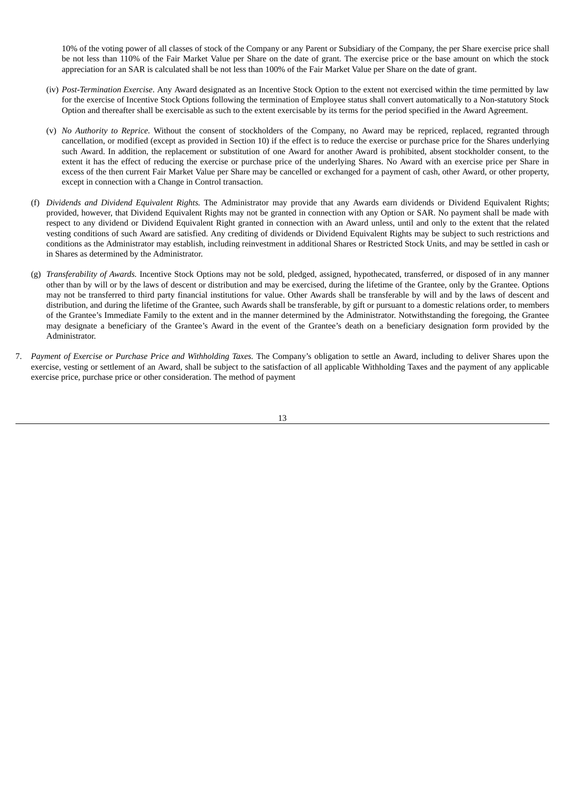10% of the voting power of all classes of stock of the Company or any Parent or Subsidiary of the Company, the per Share exercise price shall be not less than 110% of the Fair Market Value per Share on the date of grant. The exercise price or the base amount on which the stock appreciation for an SAR is calculated shall be not less than 100% of the Fair Market Value per Share on the date of grant.

- (iv) *Post-Termination Exercise*. Any Award designated as an Incentive Stock Option to the extent not exercised within the time permitted by law for the exercise of Incentive Stock Options following the termination of Employee status shall convert automatically to a Non-statutory Stock Option and thereafter shall be exercisable as such to the extent exercisable by its terms for the period specified in the Award Agreement.
- (v) *No Authority to Reprice.* Without the consent of stockholders of the Company, no Award may be repriced, replaced, regranted through cancellation, or modified (except as provided in Section 10) if the effect is to reduce the exercise or purchase price for the Shares underlying such Award. In addition, the replacement or substitution of one Award for another Award is prohibited, absent stockholder consent, to the extent it has the effect of reducing the exercise or purchase price of the underlying Shares. No Award with an exercise price per Share in excess of the then current Fair Market Value per Share may be cancelled or exchanged for a payment of cash, other Award, or other property, except in connection with a Change in Control transaction.
- (f) *Dividends and Dividend Equivalent Rights.* The Administrator may provide that any Awards earn dividends or Dividend Equivalent Rights; provided, however, that Dividend Equivalent Rights may not be granted in connection with any Option or SAR. No payment shall be made with respect to any dividend or Dividend Equivalent Right granted in connection with an Award unless, until and only to the extent that the related vesting conditions of such Award are satisfied. Any crediting of dividends or Dividend Equivalent Rights may be subject to such restrictions and conditions as the Administrator may establish, including reinvestment in additional Shares or Restricted Stock Units, and may be settled in cash or in Shares as determined by the Administrator.
- (g) *Transferability of Awards.* Incentive Stock Options may not be sold, pledged, assigned, hypothecated, transferred, or disposed of in any manner other than by will or by the laws of descent or distribution and may be exercised, during the lifetime of the Grantee, only by the Grantee. Options may not be transferred to third party financial institutions for value. Other Awards shall be transferable by will and by the laws of descent and distribution, and during the lifetime of the Grantee, such Awards shall be transferable, by gift or pursuant to a domestic relations order, to members of the Grantee's Immediate Family to the extent and in the manner determined by the Administrator. Notwithstanding the foregoing, the Grantee may designate a beneficiary of the Grantee's Award in the event of the Grantee's death on a beneficiary designation form provided by the Administrator.
- 7. *Payment of Exercise or Purchase Price and Withholding Taxes.* The Company's obligation to settle an Award, including to deliver Shares upon the exercise, vesting or settlement of an Award, shall be subject to the satisfaction of all applicable Withholding Taxes and the payment of any applicable exercise price, purchase price or other consideration. The method of payment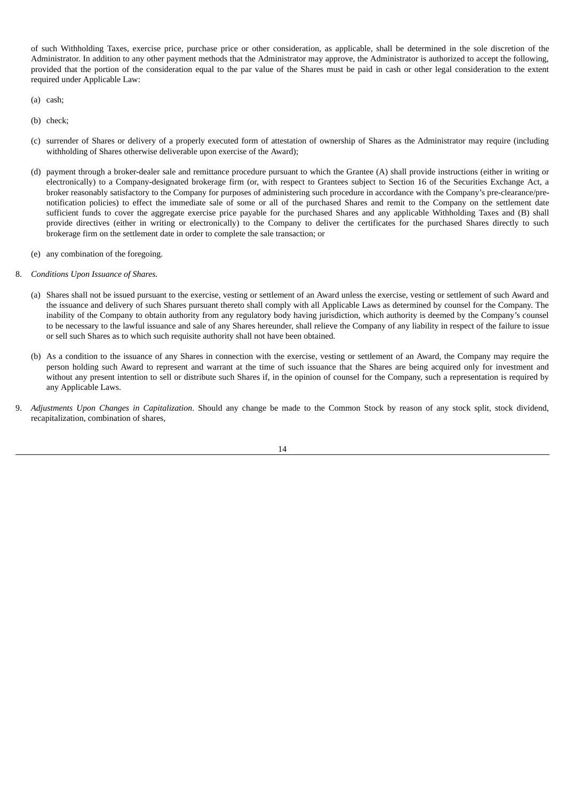of such Withholding Taxes, exercise price, purchase price or other consideration, as applicable, shall be determined in the sole discretion of the Administrator. In addition to any other payment methods that the Administrator may approve, the Administrator is authorized to accept the following, provided that the portion of the consideration equal to the par value of the Shares must be paid in cash or other legal consideration to the extent required under Applicable Law:

- (a) cash;
- (b) check;
- (c) surrender of Shares or delivery of a properly executed form of attestation of ownership of Shares as the Administrator may require (including withholding of Shares otherwise deliverable upon exercise of the Award);
- (d) payment through a broker-dealer sale and remittance procedure pursuant to which the Grantee (A) shall provide instructions (either in writing or electronically) to a Company-designated brokerage firm (or, with respect to Grantees subject to Section 16 of the Securities Exchange Act, a broker reasonably satisfactory to the Company for purposes of administering such procedure in accordance with the Company's pre-clearance/prenotification policies) to effect the immediate sale of some or all of the purchased Shares and remit to the Company on the settlement date sufficient funds to cover the aggregate exercise price payable for the purchased Shares and any applicable Withholding Taxes and (B) shall provide directives (either in writing or electronically) to the Company to deliver the certificates for the purchased Shares directly to such brokerage firm on the settlement date in order to complete the sale transaction; or
- (e) any combination of the foregoing.
- 8. *Conditions Upon Issuance of Shares.*
	- (a) Shares shall not be issued pursuant to the exercise, vesting or settlement of an Award unless the exercise, vesting or settlement of such Award and the issuance and delivery of such Shares pursuant thereto shall comply with all Applicable Laws as determined by counsel for the Company. The inability of the Company to obtain authority from any regulatory body having jurisdiction, which authority is deemed by the Company's counsel to be necessary to the lawful issuance and sale of any Shares hereunder, shall relieve the Company of any liability in respect of the failure to issue or sell such Shares as to which such requisite authority shall not have been obtained.
	- (b) As a condition to the issuance of any Shares in connection with the exercise, vesting or settlement of an Award, the Company may require the person holding such Award to represent and warrant at the time of such issuance that the Shares are being acquired only for investment and without any present intention to sell or distribute such Shares if, in the opinion of counsel for the Company, such a representation is required by any Applicable Laws.
- 9. *Adjustments Upon Changes in Capitalization*. Should any change be made to the Common Stock by reason of any stock split, stock dividend, recapitalization, combination of shares,

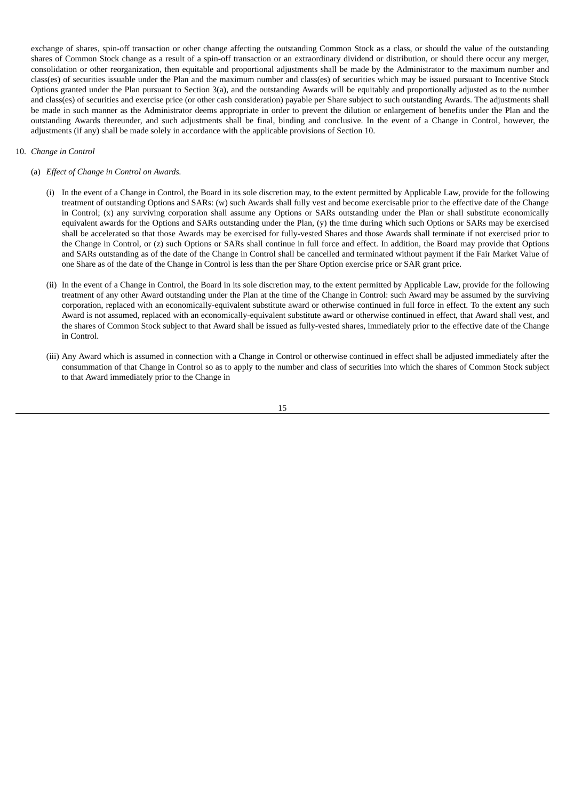exchange of shares, spin-off transaction or other change affecting the outstanding Common Stock as a class, or should the value of the outstanding shares of Common Stock change as a result of a spin-off transaction or an extraordinary dividend or distribution, or should there occur any merger, consolidation or other reorganization, then equitable and proportional adjustments shall be made by the Administrator to the maximum number and class(es) of securities issuable under the Plan and the maximum number and class(es) of securities which may be issued pursuant to Incentive Stock Options granted under the Plan pursuant to Section 3(a), and the outstanding Awards will be equitably and proportionally adjusted as to the number and class(es) of securities and exercise price (or other cash consideration) payable per Share subject to such outstanding Awards. The adjustments shall be made in such manner as the Administrator deems appropriate in order to prevent the dilution or enlargement of benefits under the Plan and the outstanding Awards thereunder, and such adjustments shall be final, binding and conclusive. In the event of a Change in Control, however, the adjustments (if any) shall be made solely in accordance with the applicable provisions of Section 10.

#### 10. *Change in Control*

- (a) *Effect of Change in Control on Awards.*
	- (i) In the event of a Change in Control, the Board in its sole discretion may, to the extent permitted by Applicable Law, provide for the following treatment of outstanding Options and SARs: (w) such Awards shall fully vest and become exercisable prior to the effective date of the Change in Control; (x) any surviving corporation shall assume any Options or SARs outstanding under the Plan or shall substitute economically equivalent awards for the Options and SARs outstanding under the Plan, (y) the time during which such Options or SARs may be exercised shall be accelerated so that those Awards may be exercised for fully-vested Shares and those Awards shall terminate if not exercised prior to the Change in Control, or (z) such Options or SARs shall continue in full force and effect. In addition, the Board may provide that Options and SARs outstanding as of the date of the Change in Control shall be cancelled and terminated without payment if the Fair Market Value of one Share as of the date of the Change in Control is less than the per Share Option exercise price or SAR grant price.
	- (ii) In the event of a Change in Control, the Board in its sole discretion may, to the extent permitted by Applicable Law, provide for the following treatment of any other Award outstanding under the Plan at the time of the Change in Control: such Award may be assumed by the surviving corporation, replaced with an economically-equivalent substitute award or otherwise continued in full force in effect. To the extent any such Award is not assumed, replaced with an economically-equivalent substitute award or otherwise continued in effect, that Award shall vest, and the shares of Common Stock subject to that Award shall be issued as fully-vested shares, immediately prior to the effective date of the Change in Control.
	- (iii) Any Award which is assumed in connection with a Change in Control or otherwise continued in effect shall be adjusted immediately after the consummation of that Change in Control so as to apply to the number and class of securities into which the shares of Common Stock subject to that Award immediately prior to the Change in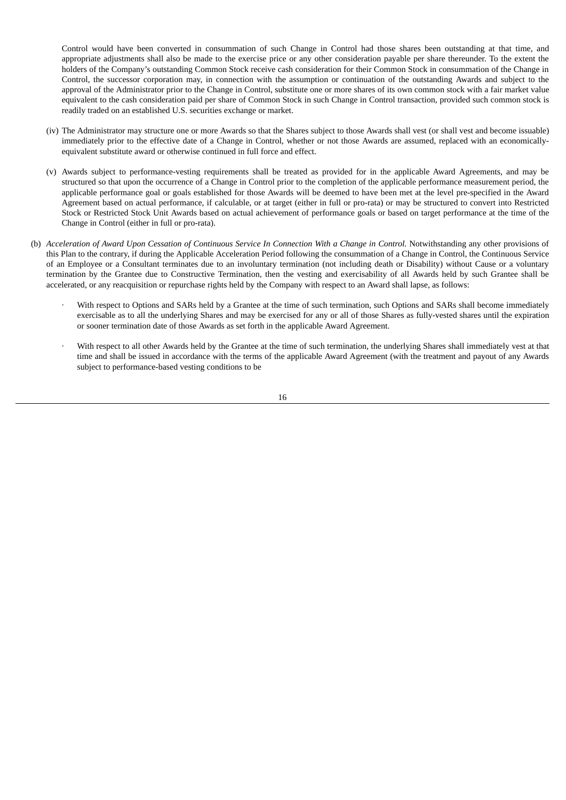Control would have been converted in consummation of such Change in Control had those shares been outstanding at that time, and appropriate adjustments shall also be made to the exercise price or any other consideration payable per share thereunder. To the extent the holders of the Company's outstanding Common Stock receive cash consideration for their Common Stock in consummation of the Change in Control, the successor corporation may, in connection with the assumption or continuation of the outstanding Awards and subject to the approval of the Administrator prior to the Change in Control, substitute one or more shares of its own common stock with a fair market value equivalent to the cash consideration paid per share of Common Stock in such Change in Control transaction, provided such common stock is readily traded on an established U.S. securities exchange or market.

- (iv) The Administrator may structure one or more Awards so that the Shares subject to those Awards shall vest (or shall vest and become issuable) immediately prior to the effective date of a Change in Control, whether or not those Awards are assumed, replaced with an economicallyequivalent substitute award or otherwise continued in full force and effect.
- (v) Awards subject to performance-vesting requirements shall be treated as provided for in the applicable Award Agreements, and may be structured so that upon the occurrence of a Change in Control prior to the completion of the applicable performance measurement period, the applicable performance goal or goals established for those Awards will be deemed to have been met at the level pre-specified in the Award Agreement based on actual performance, if calculable, or at target (either in full or pro-rata) or may be structured to convert into Restricted Stock or Restricted Stock Unit Awards based on actual achievement of performance goals or based on target performance at the time of the Change in Control (either in full or pro-rata).
- (b) Acceleration of Award Upon Cessation of Continuous Service In Connection With a Change in Control. Notwithstanding any other provisions of this Plan to the contrary, if during the Applicable Acceleration Period following the consummation of a Change in Control, the Continuous Service of an Employee or a Consultant terminates due to an involuntary termination (not including death or Disability) without Cause or a voluntary termination by the Grantee due to Constructive Termination, then the vesting and exercisability of all Awards held by such Grantee shall be accelerated, or any reacquisition or repurchase rights held by the Company with respect to an Award shall lapse, as follows:
	- With respect to Options and SARs held by a Grantee at the time of such termination, such Options and SARs shall become immediately exercisable as to all the underlying Shares and may be exercised for any or all of those Shares as fully-vested shares until the expiration or sooner termination date of those Awards as set forth in the applicable Award Agreement.
	- With respect to all other Awards held by the Grantee at the time of such termination, the underlying Shares shall immediately vest at that time and shall be issued in accordance with the terms of the applicable Award Agreement (with the treatment and payout of any Awards subject to performance-based vesting conditions to be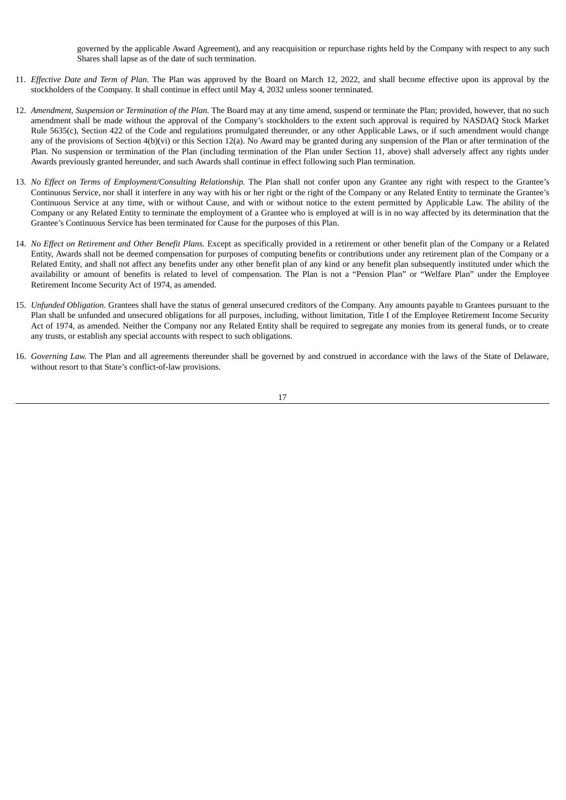governed by the applicable Award Agreement), and any reacquisition or repurchase rights held by the Company with respect to any such Shares shall lapse as of the date of such termination.

- 11. *Effective Date and Term of Plan.* The Plan was approved by the Board on March 12, 2022, and shall become effective upon its approval by the stockholders of the Company. It shall continue in effect until May 4, 2032 unless sooner terminated.
- 12. *Amendment, Suspension or Termination of the Plan.* The Board may at any time amend, suspend or terminate the Plan; provided, however, that no such amendment shall be made without the approval of the Company's stockholders to the extent such approval is required by NASDAQ Stock Market Rule 5635(c), Section 422 of the Code and regulations promulgated thereunder, or any other Applicable Laws, or if such amendment would change any of the provisions of Section 4(b)(vi) or this Section 12(a). No Award may be granted during any suspension of the Plan or after termination of the Plan. No suspension or termination of the Plan (including termination of the Plan under Section 11, above) shall adversely affect any rights under Awards previously granted hereunder, and such Awards shall continue in effect following such Plan termination.
- 13. *No Effect on Terms of Employment/Consulting Relationship.* The Plan shall not confer upon any Grantee any right with respect to the Grantee's Continuous Service, nor shall it interfere in any way with his or her right or the right of the Company or any Related Entity to terminate the Grantee's Continuous Service at any time, with or without Cause, and with or without notice to the extent permitted by Applicable Law. The ability of the Company or any Related Entity to terminate the employment of a Grantee who is employed at will is in no way affected by its determination that the Grantee's Continuous Service has been terminated for Cause for the purposes of this Plan.
- 14. *No Effect on Retirement and Other Benefit Plans.* Except as specifically provided in a retirement or other benefit plan of the Company or a Related Entity, Awards shall not be deemed compensation for purposes of computing benefits or contributions under any retirement plan of the Company or a Related Entity, and shall not affect any benefits under any other benefit plan of any kind or any benefit plan subsequently instituted under which the availability or amount of benefits is related to level of compensation. The Plan is not a "Pension Plan" or "Welfare Plan" under the Employee Retirement Income Security Act of 1974, as amended.
- 15. *Unfunded Obligation.* Grantees shall have the status of general unsecured creditors of the Company. Any amounts payable to Grantees pursuant to the Plan shall be unfunded and unsecured obligations for all purposes, including, without limitation, Title I of the Employee Retirement Income Security Act of 1974, as amended. Neither the Company nor any Related Entity shall be required to segregate any monies from its general funds, or to create any trusts, or establish any special accounts with respect to such obligations.
- 16. *Governing Law.* The Plan and all agreements thereunder shall be governed by and construed in accordance with the laws of the State of Delaware, without resort to that State's conflict-of-law provisions.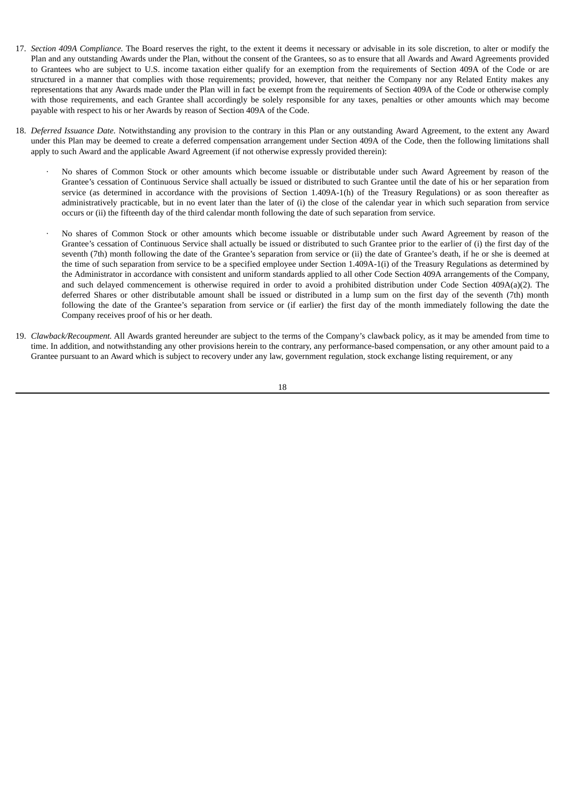- 17. *Section 409A Compliance.* The Board reserves the right, to the extent it deems it necessary or advisable in its sole discretion, to alter or modify the Plan and any outstanding Awards under the Plan, without the consent of the Grantees, so as to ensure that all Awards and Award Agreements provided to Grantees who are subject to U.S. income taxation either qualify for an exemption from the requirements of Section 409A of the Code or are structured in a manner that complies with those requirements; provided, however, that neither the Company nor any Related Entity makes any representations that any Awards made under the Plan will in fact be exempt from the requirements of Section 409A of the Code or otherwise comply with those requirements, and each Grantee shall accordingly be solely responsible for any taxes, penalties or other amounts which may become payable with respect to his or her Awards by reason of Section 409A of the Code.
- 18. *Deferred Issuance Date.* Notwithstanding any provision to the contrary in this Plan or any outstanding Award Agreement, to the extent any Award under this Plan may be deemed to create a deferred compensation arrangement under Section 409A of the Code, then the following limitations shall apply to such Award and the applicable Award Agreement (if not otherwise expressly provided therein):
	- · No shares of Common Stock or other amounts which become issuable or distributable under such Award Agreement by reason of the Grantee's cessation of Continuous Service shall actually be issued or distributed to such Grantee until the date of his or her separation from service (as determined in accordance with the provisions of Section 1.409A-1(h) of the Treasury Regulations) or as soon thereafter as administratively practicable, but in no event later than the later of (i) the close of the calendar year in which such separation from service occurs or (ii) the fifteenth day of the third calendar month following the date of such separation from service.
	- · No shares of Common Stock or other amounts which become issuable or distributable under such Award Agreement by reason of the Grantee's cessation of Continuous Service shall actually be issued or distributed to such Grantee prior to the earlier of (i) the first day of the seventh (7th) month following the date of the Grantee's separation from service or (ii) the date of Grantee's death, if he or she is deemed at the time of such separation from service to be a specified employee under Section 1.409A-1(i) of the Treasury Regulations as determined by the Administrator in accordance with consistent and uniform standards applied to all other Code Section 409A arrangements of the Company, and such delayed commencement is otherwise required in order to avoid a prohibited distribution under Code Section 409A(a)(2). The deferred Shares or other distributable amount shall be issued or distributed in a lump sum on the first day of the seventh (7th) month following the date of the Grantee's separation from service or (if earlier) the first day of the month immediately following the date the Company receives proof of his or her death.
- 19. *Clawback/Recoupment.* All Awards granted hereunder are subject to the terms of the Company's clawback policy, as it may be amended from time to time. In addition, and notwithstanding any other provisions herein to the contrary, any performance-based compensation, or any other amount paid to a Grantee pursuant to an Award which is subject to recovery under any law, government regulation, stock exchange listing requirement, or any